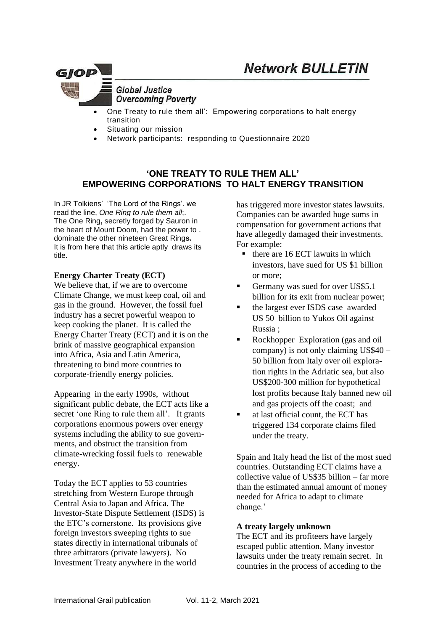

**Global Justice Overcoming Poverty** 

- One Treaty to rule them all': Empowering corporations to halt energy transition
- Situating our mission
- Network participants: responding to Questionnaire 2020

# **'ONE TREATY TO RULE THEM ALL' EMPOWERING CORPORATIONS TO HALT ENERGY TRANSITION**

In JR Tolkiens' 'The Lord of the Rings'. we read the line, *One Ring to rule them all*;. The One Ring**,** secretly forged by Sauron in the heart of Mount Doom, had the power to . dominate the other nineteen Great Ring**s.** It is from here that this article aptly draws its title.

## **Energy Charter Treaty (ECT)**

We believe that, if we are to overcome Climate Change, we must keep coal, oil and gas in the ground. However, the fossil fuel industry has a secret powerful weapon to keep cooking the planet. It is called the Energy Charter Treaty (ECT) and it is on the brink of massive geographical expansion into Africa, Asia and Latin America, threatening to bind more countries to corporate-friendly energy policies.

Appearing in the early 1990s, without significant public debate, the ECT acts like a secret 'one Ring to rule them all'. It grants corporations enormous powers over energy systems including the ability to sue governments, and obstruct the transition from climate-wrecking fossil fuels to renewable energy.

Today the ECT applies to 53 countries stretching from Western Europe through Central Asia to Japan and Africa. The Investor-State Dispute Settlement (ISDS) is the ETC's cornerstone. Its provisions give foreign investors sweeping rights to sue states directly in international tribunals of three arbitrators (private lawyers). No Investment Treaty anywhere in the world

has triggered more investor states lawsuits. Companies can be awarded huge sums in compensation for government actions that have allegedly damaged their investments. For example:

- $\blacksquare$  there are 16 ECT lawuits in which investors, have sued for US \$1 billion or more;
- Germany was sued for over US\$5.1 billion for its exit from nuclear power;
- the largest ever ISDS case awarded US 50 billion to Yukos Oil against Russia ;
- Rockhopper Exploration (gas and oil company) is not only claiming US\$40 – 50 billion from Italy over oil exploration rights in the Adriatic sea, but also US\$200-300 million for hypothetical lost profits because Italy banned new oil and gas projects off the coast; and
- at last official count, the ECT has triggered 134 corporate claims filed under the treaty.

Spain and Italy head the list of the most sued countries. Outstanding ECT claims have a collective value of US\$35 billion – far more than the estimated annual amount of money needed for Africa to adapt to climate change.'

### **A treaty largely unknown**

The ECT and its profiteers have largely escaped public attention. Many investor lawsuits under the treaty remain secret. In countries in the process of acceding to the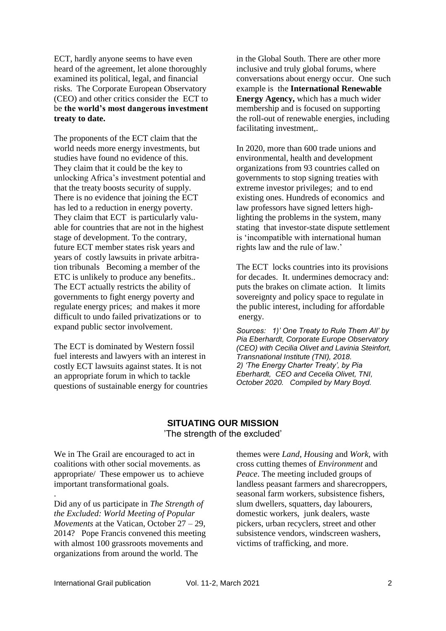ECT, hardly anyone seems to have even heard of the agreement, let alone thoroughly examined its political, legal, and financial risks. The Corporate European Observatory (CEO) and other critics consider the ECT to be **the world's most dangerous investment treaty to date.**

The proponents of the ECT claim that the world needs more energy investments, but studies have found no evidence of this. They claim that it could be the key to unlocking Africa's investment potential and that the treaty boosts security of supply. There is no evidence that joining the ECT has led to a reduction in energy poverty. They claim that ECT is particularly valuable for countries that are not in the highest stage of development. To the contrary, future ECT member states risk years and years of costly lawsuits in private arbitration tribunals Becoming a member of the ETC is unlikely to produce any benefits.. The ECT actually restricts the ability of governments to fight energy poverty and regulate energy prices; and makes it more difficult to undo failed privatizations or to expand public sector involvement.

The ECT is dominated by Western fossil fuel interests and lawyers with an interest in costly ECT lawsuits against states. It is not an appropriate forum in which to tackle questions of sustainable energy for countries in the Global South. There are other more inclusive and truly global forums, where conversations about energy occur. One such example is the **International Renewable Energy Agency,** which has a much wider membership and is focused on supporting the roll-out of renewable energies, including facilitating investment,.

In 2020, more than 600 trade unions and environmental, health and development organizations from 93 countries called on governments to stop signing treaties with extreme investor privileges; and to end existing ones. Hundreds of economics and law professors have signed letters highlighting the problems in the system, many stating that investor-state dispute settlement is 'incompatible with international human rights law and the rule of law.'

The ECT locks countries into its provisions for decades. It. undermines democracy and: puts the brakes on climate action. It limits sovereignty and policy space to regulate in the public interest, including for affordable energy.

*Sources: 1)' One Treaty to Rule Them All' by Pia Eberhardt, Corporate Europe Observatory (CEO) with Cecilia Olivet and Lavinia Steinfort, Transnational Institute (TNI), 2018. 2) 'The Energy Charter Treaty', by Pia Eberhardt, CEO and Cecelia Olivet, TNI, October 2020. Compiled by Mary Boyd.*

## **SITUATING OUR MISSION** 'The strength of the excluded'

We in The Grail are encouraged to act in coalitions with other social movements. as appropriate/ These empower us to achieve important transformational goals.

Did any of us participate in *The Strength of the Excluded: World Meeting of Popular Movements* at the Vatican, October 27 – 29, 2014?Pope Francis convened this meeting with almost 100 grassroots movements and organizations from around the world. The

themes were *Land*, *Housing* and *Work,* with cross cutting themes of *Environment* and *Peace*. The meeting included groups of landless peasant farmers and sharecroppers, seasonal farm workers, subsistence fishers, slum dwellers, squatters, day labourers, domestic workers, junk dealers, waste pickers, urban recyclers, street and other subsistence vendors, windscreen washers, victims of trafficking, and more.

.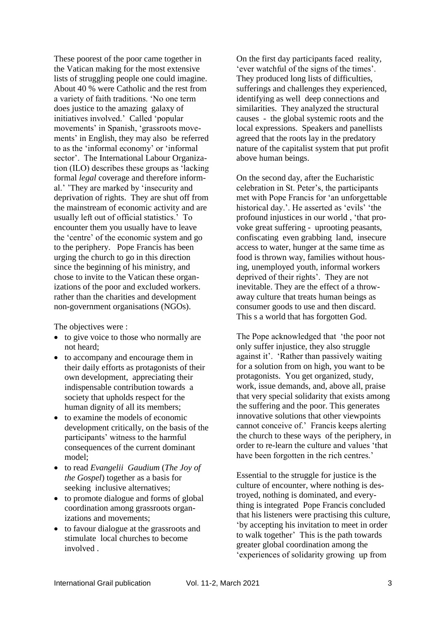These poorest of the poor came together in the Vatican making for the most extensive lists of struggling people one could imagine. About 40 % were Catholic and the rest from a variety of faith traditions. 'No one term does justice to the amazing galaxy of initiatives involved.' Called 'popular movements' in Spanish, 'grassroots movements' in English, they may also be referred to as the 'informal economy' or 'informal sector'. The International Labour Organization (ILO) describes these groups as 'lacking formal *legal* coverage and therefore informal.' 'They are marked by 'insecurity and deprivation of rights. They are shut off from the mainstream of economic activity and are usually left out of official statistics.' To encounter them you usually have to leave the 'centre' of the economic system and go to the periphery. Pope Francis has been urging the church to go in this direction since the beginning of his ministry, and chose to invite to the Vatican these organizations of the poor and excluded workers. rather than the charities and development non-government organisations (NGOs).

The objectives were :

- to give voice to those who normally are not heard;
- to accompany and encourage them in their daily efforts as protagonists of their own development, appreciating their indispensable contribution towards a society that upholds respect for the human dignity of all its members;
- to examine the models of economic development critically, on the basis of the participants' witness to the harmful consequences of the current dominant model;
- to read *Evangelii Gaudium* (*The Joy of the Gospel*) together as a basis for seeking inclusive alternatives;
- to promote dialogue and forms of global coordination among grassroots organizations and movements;
- to favour dialogue at the grassroots and stimulate local churches to become involved .

On the first day participants faced reality, 'ever watchful of the signs of the times'. They produced long lists of difficulties, sufferings and challenges they experienced, identifying as well deep connections and similarities. They analyzed the structural causes - the global systemic roots and the local expressions. Speakers and panellists agreed that the roots lay in the predatory nature of the capitalist system that put profit above human beings.

On the second day, after the Eucharistic celebration in St. Peter's, the participants met with Pope Francis for 'an unforgettable historical day.'. He asserted as 'evils' 'the profound injustices in our world , 'that provoke great suffering - uprooting peasants, confiscating even grabbing land, insecure access to water, hunger at the same time as food is thrown way, families without housing, unemployed youth, informal workers deprived of their rights'. They are not inevitable. They are the effect of a throwaway culture that treats human beings as consumer goods to use and then discard. This s a world that has forgotten God.

The Pope acknowledged that 'the poor not only suffer injustice, they also struggle against it'. 'Rather than passively waiting for a solution from on high, you want to be protagonists. You get organized, study, work, issue demands, and, above all, praise that very special solidarity that exists among the suffering and the poor. This generates innovative solutions that other viewpoints cannot conceive of.' Francis keeps alerting the church to these ways of the periphery, in order to re-learn the culture and values 'that have been forgotten in the rich centres.'

Essential to the struggle for justice is the culture of encounter, where nothing is destroyed, nothing is dominated, and everything is integrated Pope Francis concluded that his listeners were practising this culture, 'by accepting his invitation to meet in order to walk together' This is the path towards greater global coordination among the 'experiences of solidarity growing up from